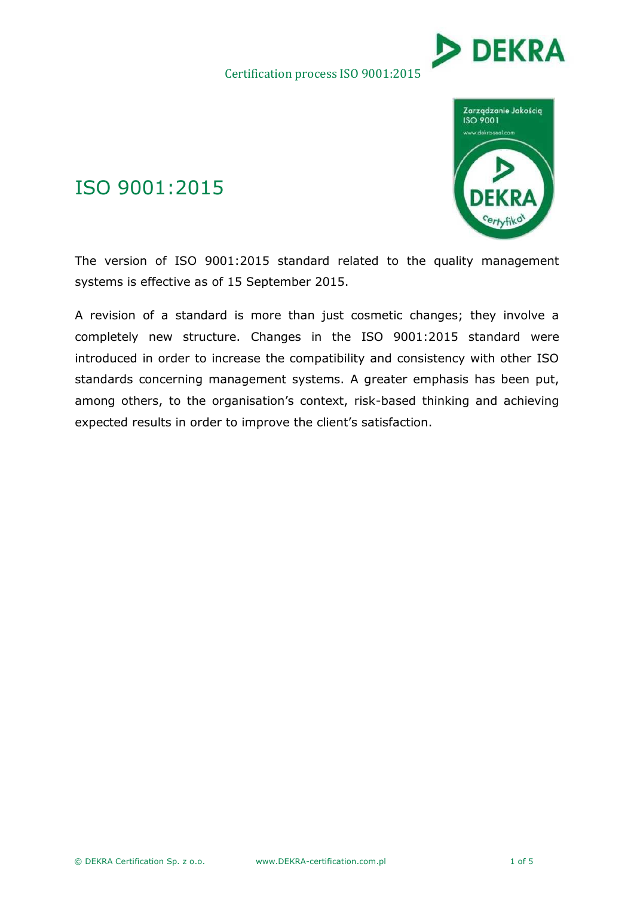### Certification process ISO 9001:2015





### ISO 9001:2015

The version of ISO 9001:2015 standard related to the quality management systems is effective as of 15 September 2015.

A revision of a standard is more than just cosmetic changes; they involve a completely new structure. Changes in the ISO 9001:2015 standard were introduced in order to increase the compatibility and consistency with other ISO standards concerning management systems. A greater emphasis has been put, among others, to the organisation's context, risk-based thinking and achieving expected results in order to improve the client's satisfaction.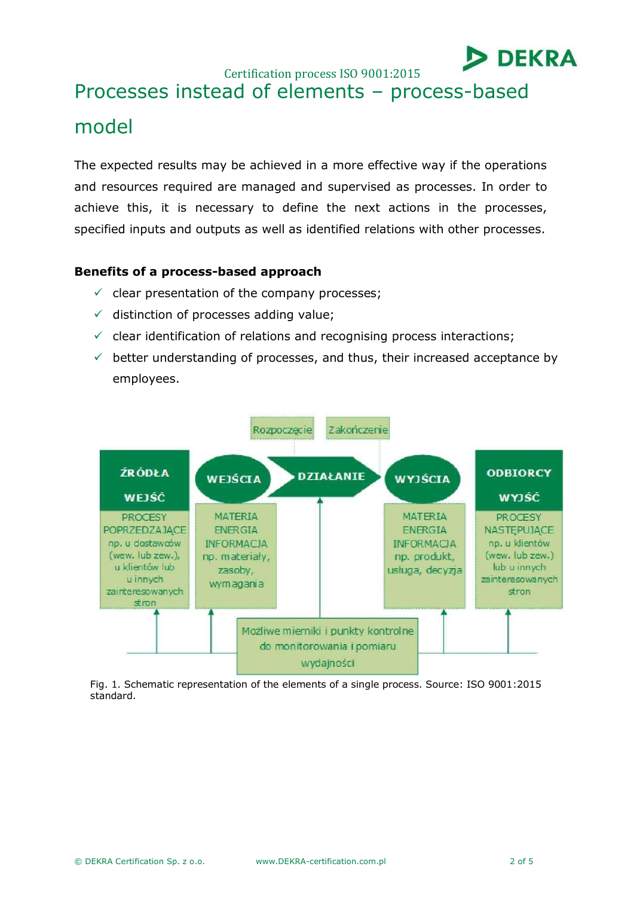Certification process ISO 9001:2015

# Processes instead of elements – process-based model

The expected results may be achieved in a more effective way if the operations and resources required are managed and supervised as processes. In order to achieve this, it is necessary to define the next actions in the processes, specified inputs and outputs as well as identified relations with other processes.

#### **Benefits of a process-based approach**

- $\checkmark$  clear presentation of the company processes;
- $\checkmark$  distinction of processes adding value;
- $\checkmark$  clear identification of relations and recognising process interactions;
- $\checkmark$  better understanding of processes, and thus, their increased acceptance by employees.



Fig. 1. Schematic representation of the elements of a single process. Source: ISO 9001:2015 standard.

**DEKRA**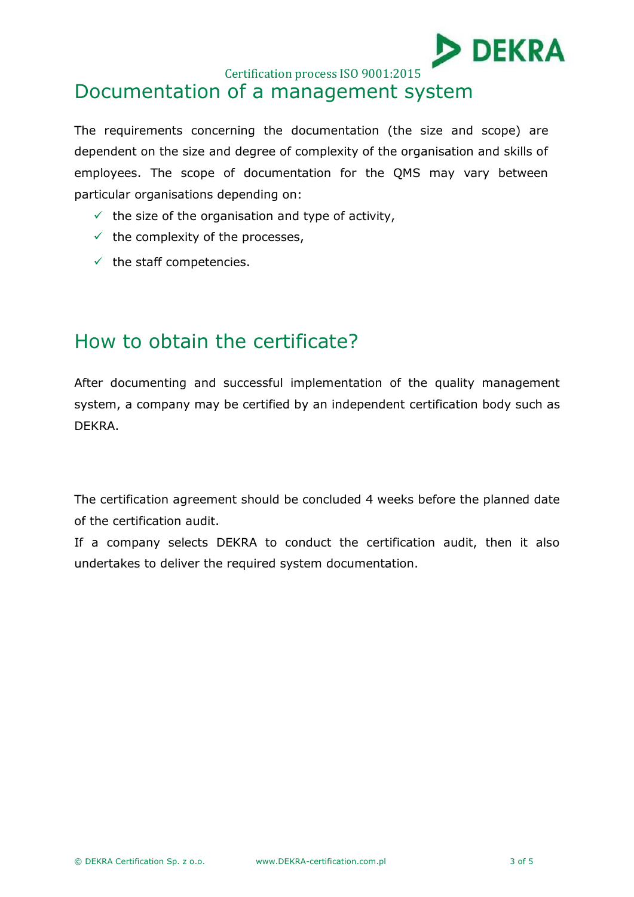

Certification process ISO 9001:2015

## Documentation of a management system

The requirements concerning the documentation (the size and scope) are dependent on the size and degree of complexity of the organisation and skills of employees. The scope of documentation for the QMS may vary between particular organisations depending on:

- $\checkmark$  the size of the organisation and type of activity,
- $\checkmark$  the complexity of the processes,
- $\checkmark$  the staff competencies.

### How to obtain the certificate?

After documenting and successful implementation of the quality management system, a company may be certified by an independent certification body such as DEKRA.

The certification agreement should be concluded 4 weeks before the planned date of the certification audit.

If a company selects DEKRA to conduct the certification audit, then it also undertakes to deliver the required system documentation.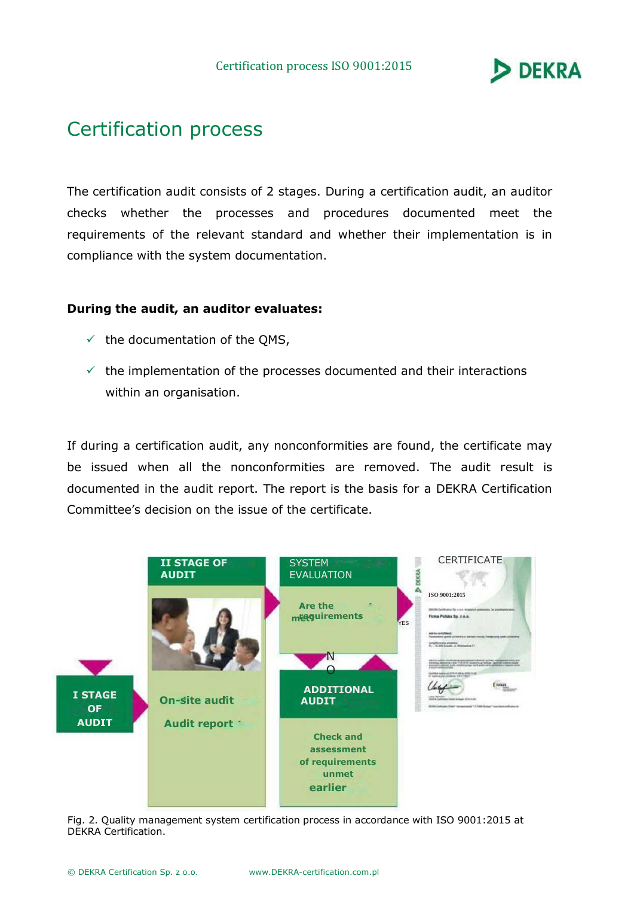

### Certification process

The certification audit consists of 2 stages. During a certification audit, an auditor checks whether the processes and procedures documented meet the requirements of the relevant standard and whether their implementation is in compliance with the system documentation.

#### **During the audit, an auditor evaluates:**

- $\checkmark$  the documentation of the QMS,
- $\checkmark$  the implementation of the processes documented and their interactions within an organisation.

If during a certification audit, any nonconformities are found, the certificate may be issued when all the nonconformities are removed. The audit result is documented in the audit report. The report is the basis for a DEKRA Certification Committee's decision on the issue of the certificate.



Fig. 2. Quality management system certification process in accordance with ISO 9001:2015 at DEKRA Certification.